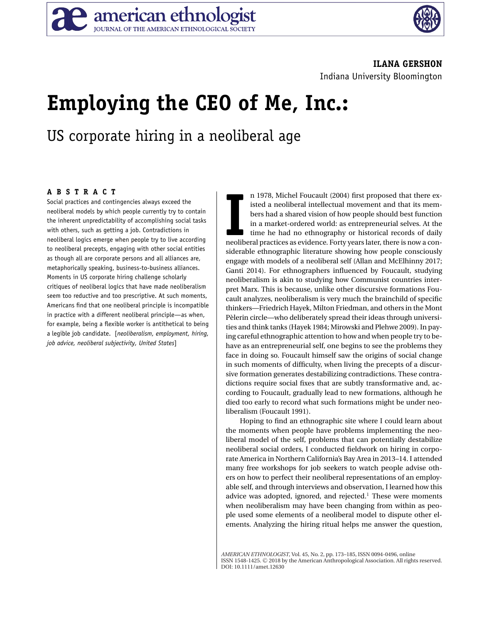

**ILANA GERSHON** Indiana University Bloomington

# **Employing the CEO of Me, Inc.:**

US corporate hiring in a neoliberal age

# **ABSTRACT**

Social practices and contingencies always exceed the neoliberal models by which people currently try to contain the inherent unpredictability of accomplishing social tasks with others, such as getting a job. Contradictions in neoliberal logics emerge when people try to live according to neoliberal precepts, engaging with other social entities as though all are corporate persons and all alliances are, metaphorically speaking, business-to-business alliances. Moments in US corporate hiring challenge scholarly critiques of neoliberal logics that have made neoliberalism seem too reductive and too prescriptive. At such moments, Americans find that one neoliberal principle is incompatible in practice with a different neoliberal principle—as when, for example, being a flexible worker is antithetical to being a legible job candidate. [*neoliberalism, employment, hiring, job advice, neoliberal subjectivity, United States*]

II 1978, Michel Foucault (2004) first proposed that there existed a neoliberal intellectual movement and that its members had a shared vision of how people should best function in a market-ordered world: as entrepreneurial n 1978, Michel Foucault (2004) first proposed that there existed a neoliberal intellectual movement and that its members had a shared vision of how people should best function in a market-ordered world: as entrepreneurial selves. At the time he had no ethnography or historical records of daily siderable ethnographic literature showing how people consciously engage with models of a neoliberal self (Allan and McElhinny 2017; Ganti 2014). For ethnographers influenced by Foucault, studying neoliberalism is akin to studying how Communist countries interpret Marx. This is because, unlike other discursive formations Foucault analyzes, neoliberalism is very much the brainchild of specific thinkers—Friedrich Hayek, Milton Friedman, and others in the Mont Pelerin circle—who deliberately spread their ideas through universi- ` ties and think tanks (Hayek 1984; Mirowski and Plehwe 2009). In paying careful ethnographic attention to how and when people try to behave as an entrepreneurial self, one begins to see the problems they face in doing so. Foucault himself saw the origins of social change in such moments of difficulty, when living the precepts of a discursive formation generates destabilizing contradictions. These contradictions require social fixes that are subtly transformative and, according to Foucault, gradually lead to new formations, although he died too early to record what such formations might be under neoliberalism (Foucault 1991).

Hoping to find an ethnographic site where I could learn about the moments when people have problems implementing the neoliberal model of the self, problems that can potentially destabilize neoliberal social orders, I conducted fieldwork on hiring in corporate America in Northern California's Bay Area in 2013–14. I attended many free workshops for job seekers to watch people advise others on how to perfect their neoliberal representations of an employable self, and through interviews and observation, I learned how this advice was adopted, ignored, and rejected.<sup>1</sup> These were moments when neoliberalism may have been changing from within as people used some elements of a neoliberal model to dispute other elements. Analyzing the hiring ritual helps me answer the question,

*AMERICAN ETHNOLOGIST*, Vol. 45, No. 2, pp. 173–185, ISSN 0094-0496, online ISSN 1548-1425. © 2018 by the American Anthropological Association. All rights reserved. DOI: 10.1111/amet.12630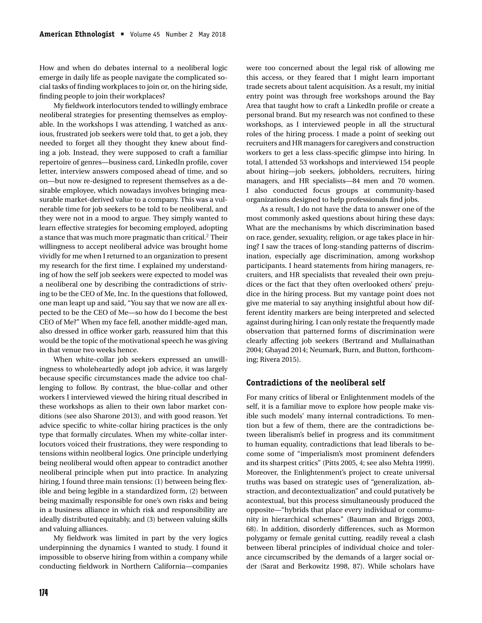How and when do debates internal to a neoliberal logic emerge in daily life as people navigate the complicated social tasks of finding workplaces to join or, on the hiring side, finding people to join their workplaces?

My fieldwork interlocutors tended to willingly embrace neoliberal strategies for presenting themselves as employable. In the workshops I was attending, I watched as anxious, frustrated job seekers were told that, to get a job, they needed to forget all they thought they knew about finding a job. Instead, they were supposed to craft a familiar repertoire of genres—business card, LinkedIn profile, cover letter, interview answers composed ahead of time, and so on—but now re-designed to represent themselves as a desirable employee, which nowadays involves bringing measurable market-derived value to a company. This was a vulnerable time for job seekers to be told to be neoliberal, and they were not in a mood to argue. They simply wanted to learn effective strategies for becoming employed, adopting a stance that was much more pragmatic than critical.2 Their willingness to accept neoliberal advice was brought home vividly for me when I returned to an organization to present my research for the first time. I explained my understanding of how the self job seekers were expected to model was a neoliberal one by describing the contradictions of striving to be the CEO of Me, Inc. In the questions that followed, one man leapt up and said, "You say that we now are all expected to be the CEO of Me—so how do I become the best CEO of Me?" When my face fell, another middle-aged man, also dressed in office worker garb, reassured him that this would be the topic of the motivational speech he was giving in that venue two weeks hence.

When white-collar job seekers expressed an unwillingness to wholeheartedly adopt job advice, it was largely because specific circumstances made the advice too challenging to follow. By contrast, the blue-collar and other workers I interviewed viewed the hiring ritual described in these workshops as alien to their own labor market conditions (see also Sharone 2013), and with good reason. Yet advice specific to white-collar hiring practices is the only type that formally circulates. When my white-collar interlocutors voiced their frustrations, they were responding to tensions within neoliberal logics. One principle underlying being neoliberal would often appear to contradict another neoliberal principle when put into practice. In analyzing hiring, I found three main tensions: (1) between being flexible and being legible in a standardized form, (2) between being maximally responsible for one's own risks and being in a business alliance in which risk and responsibility are ideally distributed equitably, and (3) between valuing skills and valuing alliances.

My fieldwork was limited in part by the very logics underpinning the dynamics I wanted to study. I found it impossible to observe hiring from within a company while conducting fieldwork in Northern California—companies were too concerned about the legal risk of allowing me this access, or they feared that I might learn important trade secrets about talent acquisition. As a result, my initial entry point was through free workshops around the Bay Area that taught how to craft a LinkedIn profile or create a personal brand. But my research was not confined to these workshops, as I interviewed people in all the structural roles of the hiring process. I made a point of seeking out recruiters and HR managers for caregivers and construction workers to get a less class-specific glimpse into hiring. In total, I attended 53 workshops and interviewed 154 people about hiring—job seekers, jobholders, recruiters, hiring managers, and HR specialists—84 men and 70 women. I also conducted focus groups at community-based organizations designed to help professionals find jobs.

As a result, I do not have the data to answer one of the most commonly asked questions about hiring these days: What are the mechanisms by which discrimination based on race, gender, sexuality, religion, or age takes place in hiring? I saw the traces of long-standing patterns of discrimination, especially age discrimination, among workshop participants. I heard statements from hiring managers, recruiters, and HR specialists that revealed their own prejudices or the fact that they often overlooked others' prejudice in the hiring process. But my vantage point does not give me material to say anything insightful about how different identity markers are being interpreted and selected against during hiring. I can only restate the frequently made observation that patterned forms of discrimination were clearly affecting job seekers (Bertrand and Mullainathan 2004; Ghayad 2014; Neumark, Burn, and Button, forthcoming; Rivera 2015).

## **Contradictions of the neoliberal self**

For many critics of liberal or Enlightenment models of the self, it is a familiar move to explore how people make visible such models' many internal contradictions. To mention but a few of them, there are the contradictions between liberalism's belief in progress and its commitment to human equality, contradictions that lead liberals to become some of "imperialism's most prominent defenders and its sharpest critics" (Pitts 2005, 4; see also Mehta 1999). Moreover, the Enlightenment's project to create universal truths was based on strategic uses of "generalization, abstraction, and decontextualization" and could putatively be acontextual, but this process simultaneously produced the opposite—"hybrids that place every individual or community in hierarchical schemes" (Bauman and Briggs 2003, 68). In addition, disorderly differences, such as Mormon polygamy or female genital cutting, readily reveal a clash between liberal principles of individual choice and tolerance circumscribed by the demands of a larger social order (Sarat and Berkowitz 1998, 87). While scholars have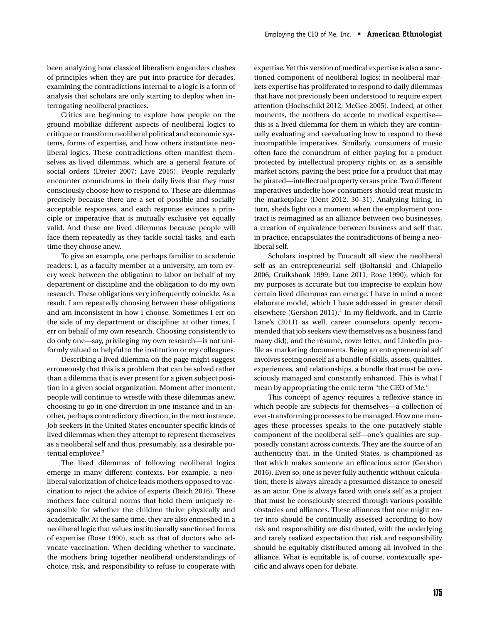been analyzing how classical liberalism engenders clashes of principles when they are put into practice for decades, examining the contradictions internal to a logic is a form of analysis that scholars are only starting to deploy when interrogating neoliberal practices.

Critics are beginning to explore how people on the ground mobilize different aspects of neoliberal logics to critique or transform neoliberal political and economic systems, forms of expertise, and how others instantiate neoliberal logics. These contradictions often manifest themselves as lived dilemmas, which are a general feature of social orders (Dreier 2007; Lave 2015). People regularly encounter conundrums in their daily lives that they must consciously choose how to respond to. These are dilemmas precisely because there are a set of possible and socially acceptable responses, and each response evinces a principle or imperative that is mutually exclusive yet equally valid. And these are lived dilemmas because people will face them repeatedly as they tackle social tasks, and each time they choose anew.

To give an example, one perhaps familiar to academic readers: I, as a faculty member at a university, am torn every week between the obligation to labor on behalf of my department or discipline and the obligation to do my own research. These obligations very infrequently coincide. As a result, I am repeatedly choosing between these obligations and am inconsistent in how I choose. Sometimes I err on the side of my department or discipline; at other times, I err on behalf of my own research. Choosing consistently to do only one—say, privileging my own research—is not uniformly valued or helpful to the institution or my colleagues.

Describing a lived dilemma on the page might suggest erroneously that this is a problem that can be solved rather than a dilemma that is ever present for a given subject position in a given social organization. Moment after moment, people will continue to wrestle with these dilemmas anew, choosing to go in one direction in one instance and in another, perhaps contradictory direction, in the next instance. Job seekers in the United States encounter specific kinds of lived dilemmas when they attempt to represent themselves as a neoliberal self and thus, presumably, as a desirable potential employee.<sup>3</sup>

The lived dilemmas of following neoliberal logics emerge in many different contexts. For example, a neoliberal valorization of choice leads mothers opposed to vaccination to reject the advice of experts (Reich 2016). These mothers face cultural norms that hold them uniquely responsible for whether the children thrive physically and academically. At the same time, they are also enmeshed in a neoliberal logic that values institutionally sanctioned forms of expertise (Rose 1990), such as that of doctors who advocate vaccination. When deciding whether to vaccinate, the mothers bring together neoliberal understandings of choice, risk, and responsibility to refuse to cooperate with

expertise. Yet this version of medical expertise is also a sanctioned component of neoliberal logics; in neoliberal markets expertise has proliferated to respond to daily dilemmas that have not previously been understood to require expert attention (Hochschild 2012; McGee 2005). Indeed, at other moments, the mothers do accede to medical expertise this is a lived dilemma for them in which they are continually evaluating and reevaluating how to respond to these incompatible imperatives. Similarly, consumers of music often face the conundrum of either paying for a product protected by intellectual property rights or, as a sensible market actors, paying the best price for a product that may be pirated—intellectual property versus price. Two different imperatives underlie how consumers should treat music in the marketplace (Dent 2012, 30–31). Analyzing hiring, in turn, sheds light on a moment when the employment contract is reimagined as an alliance between two businesses, a creation of equivalence between business and self that, in practice, encapsulates the contradictions of being a neoliberal self.

Scholars inspired by Foucault all view the neoliberal self as an entrepreneurial self (Boltanski and Chiapello 2006; Cruikshank 1999; Lane 2011; Rose 1990), which for my purposes is accurate but too imprecise to explain how certain lived dilemmas can emerge. I have in mind a more elaborate model, which I have addressed in greater detail elsewhere (Gershon 2011).4 In my fieldwork, and in Carrie Lane's (2011) as well, career counselors openly recommended that job seekers view themselves as a business (and many did), and the résumé, cover letter, and LinkedIn profile as marketing documents. Being an entrepreneurial self involves seeing oneself as a bundle of skills, assets, qualities, experiences, and relationships, a bundle that must be consciously managed and constantly enhanced. This is what I mean by appropriating the emic term "the CEO of Me."

This concept of agency requires a reflexive stance in which people are subjects for themselves—a collection of ever-transforming processes to be managed. How one manages these processes speaks to the one putatively stable component of the neoliberal self—one's qualities are supposedly constant across contexts. They are the source of an authenticity that, in the United States, is championed as that which makes someone an efficacious actor (Gershon 2016). Even so, one is never fully authentic without calculation; there is always already a presumed distance to oneself as an actor. One is always faced with one's self as a project that must be consciously steered through various possible obstacles and alliances. These alliances that one might enter into should be continually assessed according to how risk and responsibility are distributed, with the underlying and rarely realized expectation that risk and responsibility should be equitably distributed among all involved in the alliance. What is equitable is, of course, contextually specific and always open for debate.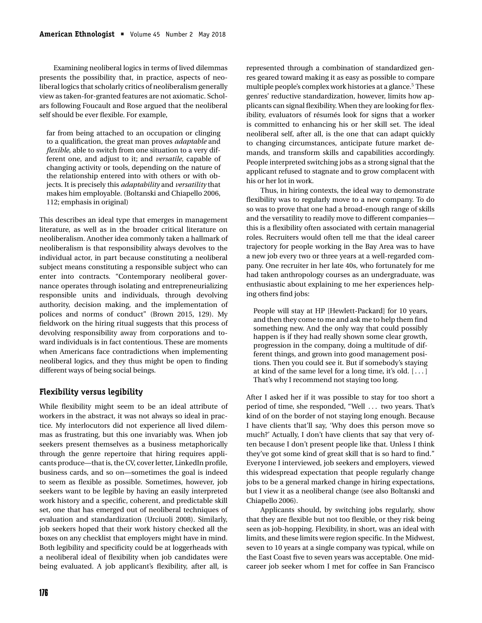Examining neoliberal logics in terms of lived dilemmas presents the possibility that, in practice, aspects of neoliberal logics that scholarly critics of neoliberalism generally view as taken-for-granted features are not axiomatic. Scholars following Foucault and Rose argued that the neoliberal self should be ever flexible. For example,

far from being attached to an occupation or clinging to a qualification, the great man proves *adaptable* and *flexible*, able to switch from one situation to a very different one, and adjust to it; and *versatile*, capable of changing activity or tools, depending on the nature of the relationship entered into with others or with objects. It is precisely this *adaptability* and *versatility* that makes him employable. (Boltanski and Chiapello 2006, 112; emphasis in original)

This describes an ideal type that emerges in management literature, as well as in the broader critical literature on neoliberalism. Another idea commonly taken a hallmark of neoliberalism is that responsibility always devolves to the individual actor, in part because constituting a neoliberal subject means constituting a responsible subject who can enter into contracts. "Contemporary neoliberal governance operates through isolating and entrepreneurializing responsible units and individuals, through devolving authority, decision making, and the implementation of polices and norms of conduct" (Brown 2015, 129). My fieldwork on the hiring ritual suggests that this process of devolving responsibility away from corporations and toward individuals is in fact contentious. These are moments when Americans face contradictions when implementing neoliberal logics, and they thus might be open to finding different ways of being social beings.

## **Flexibility versus legibility**

While flexibility might seem to be an ideal attribute of workers in the abstract, it was not always so ideal in practice. My interlocutors did not experience all lived dilemmas as frustrating, but this one invariably was. When job seekers present themselves as a business metaphorically through the genre repertoire that hiring requires applicants produce—that is, the CV, cover letter, LinkedIn profile, business cards, and so on—sometimes the goal is indeed to seem as flexible as possible. Sometimes, however, job seekers want to be legible by having an easily interpreted work history and a specific, coherent, and predictable skill set, one that has emerged out of neoliberal techniques of evaluation and standardization (Urciuoli 2008). Similarly, job seekers hoped that their work history checked all the boxes on any checklist that employers might have in mind. Both legibility and specificity could be at loggerheads with a neoliberal ideal of flexibility when job candidates were being evaluated. A job applicant's flexibility, after all, is

represented through a combination of standardized genres geared toward making it as easy as possible to compare multiple people's complex work histories at a glance.<sup>5</sup> These genres' reductive standardization, however, limits how applicants can signal flexibility. When they are looking for flexibility, evaluators of résumés look for signs that a worker is committed to enhancing his or her skill set. The ideal neoliberal self, after all, is the one that can adapt quickly to changing circumstances, anticipate future market demands, and transform skills and capabilities accordingly. People interpreted switching jobs as a strong signal that the applicant refused to stagnate and to grow complacent with his or her lot in work.

Thus, in hiring contexts, the ideal way to demonstrate flexibility was to regularly move to a new company. To do so was to prove that one had a broad-enough range of skills and the versatility to readily move to different companies this is a flexibility often associated with certain managerial roles. Recruiters would often tell me that the ideal career trajectory for people working in the Bay Area was to have a new job every two or three years at a well-regarded company. One recruiter in her late 40s, who fortunately for me had taken anthropology courses as an undergraduate, was enthusiastic about explaining to me her experiences helping others find jobs:

People will stay at HP [Hewlett-Packard] for 10 years, and then they come to me and ask me to help them find something new. And the only way that could possibly happen is if they had really shown some clear growth, progression in the company, doing a multitude of different things, and grown into good management positions. Then you could see it. But if somebody's staying at kind of the same level for a long time, it's old.  $[...]$ That's why I recommend not staying too long.

After I asked her if it was possible to stay for too short a period of time, she responded, "Well . . . two years. That's kind of on the border of not staying long enough. Because I have clients that'll say, 'Why does this person move so much?' Actually, I don't have clients that say that very often because I don't present people like that. Unless I think they've got some kind of great skill that is so hard to find." Everyone I interviewed, job seekers and employers, viewed this widespread expectation that people regularly change jobs to be a general marked change in hiring expectations, but I view it as a neoliberal change (see also Boltanski and Chiapello 2006).

Applicants should, by switching jobs regularly, show that they are flexible but not too flexible, or they risk being seen as job-hopping. Flexibility, in short, was an ideal with limits, and these limits were region specific. In the Midwest, seven to 10 years at a single company was typical, while on the East Coast five to seven years was acceptable. One midcareer job seeker whom I met for coffee in San Francisco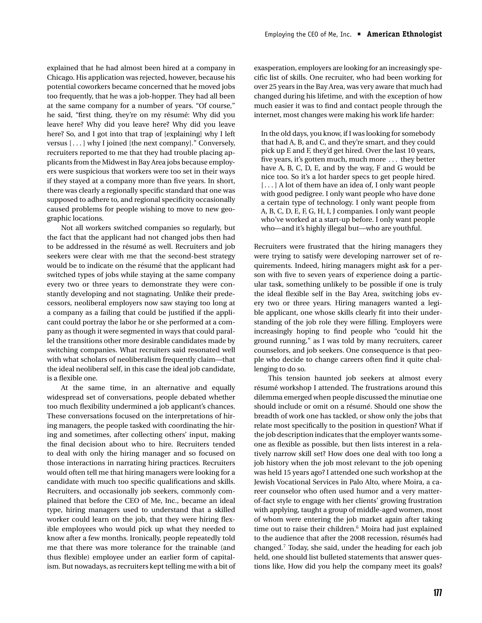explained that he had almost been hired at a company in Chicago. His application was rejected, however, because his potential coworkers became concerned that he moved jobs too frequently, that he was a job-hopper. They had all been at the same company for a number of years. "Of course," he said, "first thing, they're on my résumé: Why did you leave here? Why did you leave here? Why did you leave here? So, and I got into that trap of [explaining] why I left versus [ . . . ] why I joined [the next company]." Conversely, recruiters reported to me that they had trouble placing applicants from the Midwest in Bay Area jobs because employers were suspicious that workers were too set in their ways if they stayed at a company more than five years. In short, there was clearly a regionally specific standard that one was supposed to adhere to, and regional specificity occasionally caused problems for people wishing to move to new geographic locations.

Not all workers switched companies so regularly, but the fact that the applicant had not changed jobs then had to be addressed in the résumé as well. Recruiters and job seekers were clear with me that the second-best strategy would be to indicate on the résumé that the applicant had switched types of jobs while staying at the same company every two or three years to demonstrate they were constantly developing and not stagnating. Unlike their predecessors, neoliberal employers now saw staying too long at a company as a failing that could be justified if the applicant could portray the labor he or she performed at a company as though it were segmented in ways that could parallel the transitions other more desirable candidates made by switching companies. What recruiters said resonated well with what scholars of neoliberalism frequently claim—that the ideal neoliberal self, in this case the ideal job candidate, is a flexible one.

At the same time, in an alternative and equally widespread set of conversations, people debated whether too much flexibility undermined a job applicant's chances. These conversations focused on the interpretations of hiring managers, the people tasked with coordinating the hiring and sometimes, after collecting others' input, making the final decision about who to hire. Recruiters tended to deal with only the hiring manager and so focused on those interactions in narrating hiring practices. Recruiters would often tell me that hiring managers were looking for a candidate with much too specific qualifications and skills. Recruiters, and occasionally job seekers, commonly complained that before the CEO of Me, Inc., became an ideal type, hiring managers used to understand that a skilled worker could learn on the job, that they were hiring flexible employees who would pick up what they needed to know after a few months. Ironically, people repeatedly told me that there was more tolerance for the trainable (and thus flexible) employee under an earlier form of capitalism. But nowadays, as recruiters kept telling me with a bit of exasperation, employers are looking for an increasingly specific list of skills. One recruiter, who had been working for over 25 years in the Bay Area, was very aware that much had changed during his lifetime, and with the exception of how much easier it was to find and contact people through the internet, most changes were making his work life harder:

In the old days, you know, if I was looking for somebody that had A, B, and C, and they're smart, and they could pick up E and F, they'd get hired. Over the last 10 years, five years, it's gotten much, much more . . . they better have A, B, C, D, E, and by the way, F and G would be nice too. So it's a lot harder specs to get people hired. [...] A lot of them have an idea of, I only want people with good pedigree. I only want people who have done a certain type of technology. I only want people from A, B, C, D, E, F, G, H, I, J companies. I only want people who've worked at a start-up before. I only want people who—and it's highly illegal but—who are youthful.

Recruiters were frustrated that the hiring managers they were trying to satisfy were developing narrower set of requirements. Indeed, hiring managers might ask for a person with five to seven years of experience doing a particular task, something unlikely to be possible if one is truly the ideal flexible self in the Bay Area, switching jobs every two or three years. Hiring managers wanted a legible applicant, one whose skills clearly fit into their understanding of the job role they were filling. Employers were increasingly hoping to find people who "could hit the ground running," as I was told by many recruiters, career counselors, and job seekers. One consequence is that people who decide to change careers often find it quite challenging to do so.

This tension haunted job seekers at almost every résumé workshop I attended. The frustrations around this dilemma emerged when people discussed the minutiae one should include or omit on a résumé. Should one show the breadth of work one has tackled, or show only the jobs that relate most specifically to the position in question? What if the job description indicates that the employer wants someone as flexible as possible, but then lists interest in a relatively narrow skill set? How does one deal with too long a job history when the job most relevant to the job opening was held 15 years ago? I attended one such workshop at the Jewish Vocational Services in Palo Alto, where Moira, a career counselor who often used humor and a very matterof-fact style to engage with her clients' growing frustration with applying, taught a group of middle-aged women, most of whom were entering the job market again after taking time out to raise their children.<sup>6</sup> Moira had just explained to the audience that after the 2008 recession, résumés had changed.<sup>7</sup> Today, she said, under the heading for each job held, one should list bulleted statements that answer questions like, How did you help the company meet its goals?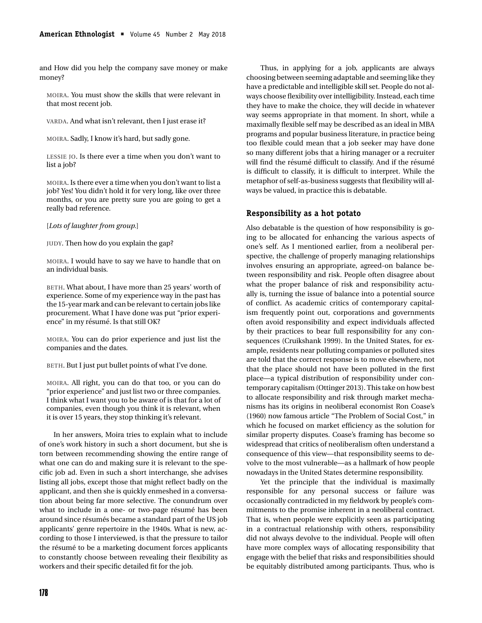and How did you help the company save money or make money?

MOIRA. You must show the skills that were relevant in that most recent job.

VARDA. And what isn't relevant, then I just erase it?

MOIRA. Sadly, I know it's hard, but sadly gone.

LESSIE JO. Is there ever a time when you don't want to list a job?

MOIRA. Is there ever a time when you don't want to list a job? Yes! You didn't hold it for very long, like over three months, or you are pretty sure you are going to get a really bad reference.

[*Lots of laughter from group.*]

JUDY. Then how do you explain the gap?

MOIRA. I would have to say we have to handle that on an individual basis.

BETH. What about, I have more than 25 years' worth of experience. Some of my experience way in the past has the 15-year mark and can be relevant to certain jobs like procurement. What I have done was put "prior experience" in my résumé. Is that still OK?

MOIRA. You can do prior experience and just list the companies and the dates.

BETH. But I just put bullet points of what I've done.

MOIRA. All right, you can do that too, or you can do "prior experience" and just list two or three companies. I think what I want you to be aware of is that for a lot of companies, even though you think it is relevant, when it is over 15 years, they stop thinking it's relevant.

In her answers, Moira tries to explain what to include of one's work history in such a short document, but she is torn between recommending showing the entire range of what one can do and making sure it is relevant to the specific job ad. Even in such a short interchange, she advises listing all jobs, except those that might reflect badly on the applicant, and then she is quickly enmeshed in a conversation about being far more selective. The conundrum over what to include in a one- or two-page résumé has been around since résumés became a standard part of the US job applicants' genre repertoire in the 1940s. What is new, according to those I interviewed, is that the pressure to tailor the résumé to be a marketing document forces applicants to constantly choose between revealing their flexibility as workers and their specific detailed fit for the job.

Thus, in applying for a job, applicants are always choosing between seeming adaptable and seeming like they have a predictable and intelligible skill set. People do not always choose flexibility over intelligibility. Instead, each time they have to make the choice, they will decide in whatever way seems appropriate in that moment. In short, while a maximally flexible self may be described as an ideal in MBA programs and popular business literature, in practice being too flexible could mean that a job seeker may have done so many different jobs that a hiring manager or a recruiter will find the résumé difficult to classify. And if the résumé is difficult to classify, it is difficult to interpret. While the metaphor of self-as-business suggests that flexibility will always be valued, in practice this is debatable.

#### **Responsibility as a hot potato**

Also debatable is the question of how responsibility is going to be allocated for enhancing the various aspects of one's self. As I mentioned earlier, from a neoliberal perspective, the challenge of properly managing relationships involves ensuring an appropriate, agreed-on balance between responsibility and risk. People often disagree about what the proper balance of risk and responsibility actually is, turning the issue of balance into a potential source of conflict. As academic critics of contemporary capitalism frequently point out, corporations and governments often avoid responsibility and expect individuals affected by their practices to bear full responsibility for any consequences (Cruikshank 1999). In the United States, for example, residents near polluting companies or polluted sites are told that the correct response is to move elsewhere, not that the place should not have been polluted in the first place—a typical distribution of responsibility under contemporary capitalism (Ottinger 2013). This take on how best to allocate responsibility and risk through market mechanisms has its origins in neoliberal economist Ron Coase's (1960) now famous article "The Problem of Social Cost," in which he focused on market efficiency as the solution for similar property disputes. Coase's framing has become so widespread that critics of neoliberalism often understand a consequence of this view—that responsibility seems to devolve to the most vulnerable—as a hallmark of how people nowadays in the United States determine responsibility.

Yet the principle that the individual is maximally responsible for any personal success or failure was occasionally contradicted in my fieldwork by people's commitments to the promise inherent in a neoliberal contract. That is, when people were explicitly seen as participating in a contractual relationship with others, responsibility did not always devolve to the individual. People will often have more complex ways of allocating responsibility that engage with the belief that risks and responsibilities should be equitably distributed among participants. Thus, who is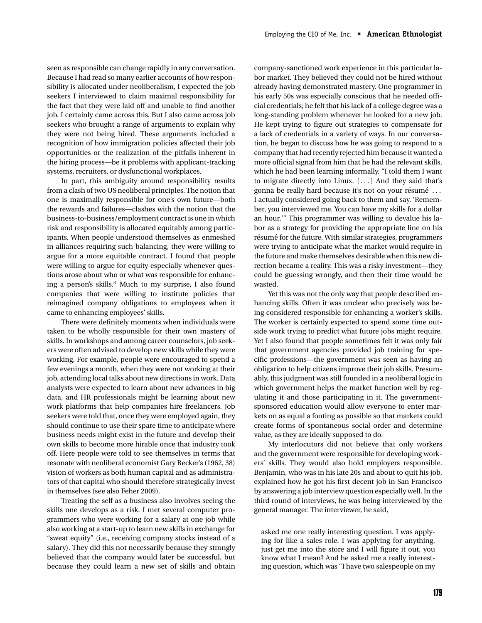seen as responsible can change rapidly in any conversation. Because I had read so many earlier accounts of how responsibility is allocated under neoliberalism, I expected the job seekers I interviewed to claim maximal responsibility for the fact that they were laid off and unable to find another job. I certainly came across this. But I also came across job seekers who brought a range of arguments to explain why they were not being hired. These arguments included a recognition of how immigration policies affected their job opportunities or the realization of the pitfalls inherent in the hiring process—be it problems with applicant-tracking systems, recruiters, or dysfunctional workplaces.

In part, this ambiguity around responsibility results from a clash of two US neoliberal principles. The notion that one is maximally responsible for one's own future—both the rewards and failures—clashes with the notion that the business-to-business/employment contract is one in which risk and responsibility is allocated equitably among participants. When people understood themselves as enmeshed in alliances requiring such balancing, they were willing to argue for a more equitable contract. I found that people were willing to argue for equity especially whenever questions arose about who or what was responsible for enhancing a person's skills.<sup>8</sup> Much to my surprise, I also found companies that were willing to institute policies that reimagined company obligations to employees when it came to enhancing employees' skills.

There were definitely moments when individuals were taken to be wholly responsible for their own mastery of skills. In workshops and among career counselors, job seekers were often advised to develop new skills while they were working. For example, people were encouraged to spend a few evenings a month, when they were not working at their job, attending local talks about new directions in work. Data analysts were expected to learn about new advances in big data, and HR professionals might be learning about new work platforms that help companies hire freelancers. Job seekers were told that, once they were employed again, they should continue to use their spare time to anticipate where business needs might exist in the future and develop their own skills to become more hirable once that industry took off. Here people were told to see themselves in terms that resonate with neoliberal economist Gary Becker's (1962, 38) vision of workers as both human capital and as administrators of that capital who should therefore strategically invest in themselves (see also Feher 2009).

Treating the self as a business also involves seeing the skills one develops as a risk. I met several computer programmers who were working for a salary at one job while also working at a start-up to learn new skills in exchange for "sweat equity" (i.e., receiving company stocks instead of a salary). They did this not necessarily because they strongly believed that the company would later be successful, but because they could learn a new set of skills and obtain company-sanctioned work experience in this particular labor market. They believed they could not be hired without already having demonstrated mastery. One programmer in his early 50s was especially conscious that he needed official credentials; he felt that his lack of a college degree was a long-standing problem whenever he looked for a new job. He kept trying to figure out strategies to compensate for a lack of credentials in a variety of ways. In our conversation, he began to discuss how he was going to respond to a company that had recently rejected him because it wanted a more official signal from him that he had the relevant skills, which he had been learning informally. "I told them I want to migrate directly into Linux. [ . . . ] And they said that's gonna be really hard because it's not on your résumé ... I actually considered going back to them and say, 'Remember, you interviewed me. You can have my skills for a dollar an hour.'" This programmer was willing to devalue his labor as a strategy for providing the appropriate line on his résumé for the future. With similar strategies, programmers were trying to anticipate what the market would require in the future and make themselves desirable when this new direction became a reality. This was a risky investment—they could be guessing wrongly, and then their time would be wasted.

Yet this was not the only way that people described enhancing skills. Often it was unclear who precisely was being considered responsible for enhancing a worker's skills. The worker is certainly expected to spend some time outside work trying to predict what future jobs might require. Yet I also found that people sometimes felt it was only fair that government agencies provided job training for specific professions—the government was seen as having an obligation to help citizens improve their job skills. Presumably, this judgment was still founded in a neoliberal logic in which government helps the market function well by regulating it and those participating in it. The governmentsponsored education would allow everyone to enter markets on as equal a footing as possible so that markets could create forms of spontaneous social order and determine value, as they are ideally supposed to do.

My interlocutors did not believe that only workers and the government were responsible for developing workers' skills. They would also hold employers responsible. Benjamin, who was in his late 20s and about to quit his job, explained how he got his first decent job in San Francisco by answering a job interview question especially well. In the third round of interviews, he was being interviewed by the general manager. The interviewer, he said,

asked me one really interesting question. I was applying for like a sales role. I was applying for anything, just get me into the store and I will figure it out, you know what I mean? And he asked me a really interesting question, which was "I have two salespeople on my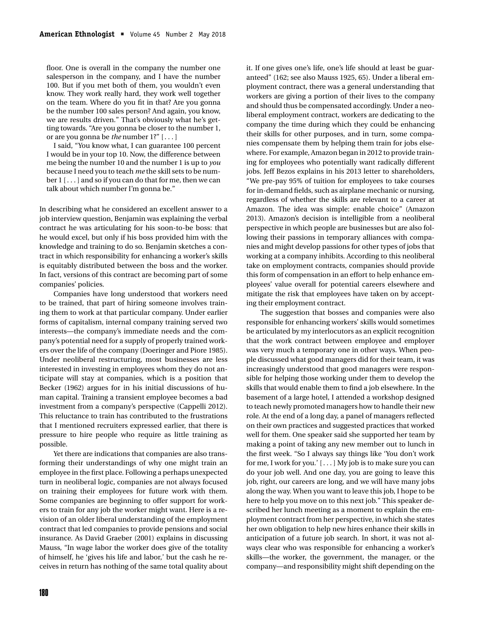floor. One is overall in the company the number one salesperson in the company, and I have the number 100. But if you met both of them, you wouldn't even know. They work really hard, they work well together on the team. Where do you fit in that? Are you gonna be the number 100 sales person? And again, you know, we are results driven." That's obviously what he's getting towards. "Are you gonna be closer to the number 1, or are you gonna be *the* number 1?" [ . . . ]

I said, "You know what, I can guarantee 100 percent I would be in your top 10. Now, the difference between me being the number 10 and the number 1 is up to *you* because I need you to teach *me* the skill sets to be number  $1$  [ $\dots$ ] and so if you can do that for me, then we can talk about which number I'm gonna be."

In describing what he considered an excellent answer to a job interview question, Benjamin was explaining the verbal contract he was articulating for his soon-to-be boss: that he would excel, but only if his boss provided him with the knowledge and training to do so. Benjamin sketches a contract in which responsibility for enhancing a worker's skills is equitably distributed between the boss and the worker. In fact, versions of this contract are becoming part of some companies' policies.

Companies have long understood that workers need to be trained, that part of hiring someone involves training them to work at that particular company. Under earlier forms of capitalism, internal company training served two interests—the company's immediate needs and the company's potential need for a supply of properly trained workers over the life of the company (Doeringer and Piore 1985). Under neoliberal restructuring, most businesses are less interested in investing in employees whom they do not anticipate will stay at companies, which is a position that Becker (1962) argues for in his initial discussions of human capital. Training a transient employee becomes a bad investment from a company's perspective (Cappelli 2012). This reluctance to train has contributed to the frustrations that I mentioned recruiters expressed earlier, that there is pressure to hire people who require as little training as possible.

Yet there are indications that companies are also transforming their understandings of why one might train an employee in the first place. Following a perhaps unexpected turn in neoliberal logic, companies are not always focused on training their employees for future work with them. Some companies are beginning to offer support for workers to train for any job the worker might want. Here is a revision of an older liberal understanding of the employment contract that led companies to provide pensions and social insurance. As David Graeber (2001) explains in discussing Mauss, "In wage labor the worker does give of the totality of himself, he 'gives his life and labor,' but the cash he receives in return has nothing of the same total quality about

it. If one gives one's life, one's life should at least be guaranteed" (162; see also Mauss 1925, 65). Under a liberal employment contract, there was a general understanding that workers are giving a portion of their lives to the company and should thus be compensated accordingly. Under a neoliberal employment contract, workers are dedicating to the company the time during which they could be enhancing their skills for other purposes, and in turn, some companies compensate them by helping them train for jobs elsewhere. For example, Amazon began in 2012 to provide training for employees who potentially want radically different jobs. Jeff Bezos explains in his 2013 letter to shareholders, "We pre-pay 95% of tuition for employees to take courses for in-demand fields, such as airplane mechanic or nursing, regardless of whether the skills are relevant to a career at Amazon. The idea was simple: enable choice" (Amazon 2013). Amazon's decision is intelligible from a neoliberal perspective in which people are businesses but are also following their passions in temporary alliances with companies and might develop passions for other types of jobs that working at a company inhibits. According to this neoliberal take on employment contracts, companies should provide this form of compensation in an effort to help enhance employees' value overall for potential careers elsewhere and mitigate the risk that employees have taken on by accepting their employment contract.

The suggestion that bosses and companies were also responsible for enhancing workers' skills would sometimes be articulated by my interlocutors as an explicit recognition that the work contract between employee and employer was very much a temporary one in other ways. When people discussed what good managers did for their team, it was increasingly understood that good managers were responsible for helping those working under them to develop the skills that would enable them to find a job elsewhere. In the basement of a large hotel, I attended a workshop designed to teach newly promoted managers how to handle their new role. At the end of a long day, a panel of managers reflected on their own practices and suggested practices that worked well for them. One speaker said she supported her team by making a point of taking any new member out to lunch in the first week. "So I always say things like 'You don't work for me, I work for you.' [ . . . ] My job is to make sure you can do your job well. And one day, you are going to leave this job, right, our careers are long, and we will have many jobs along the way. When you want to leave this job, I hope to be here to help you move on to this next job." This speaker described her lunch meeting as a moment to explain the employment contract from her perspective, in which she states her own obligation to help new hires enhance their skills in anticipation of a future job search. In short, it was not always clear who was responsible for enhancing a worker's skills—the worker, the government, the manager, or the company—and responsibility might shift depending on the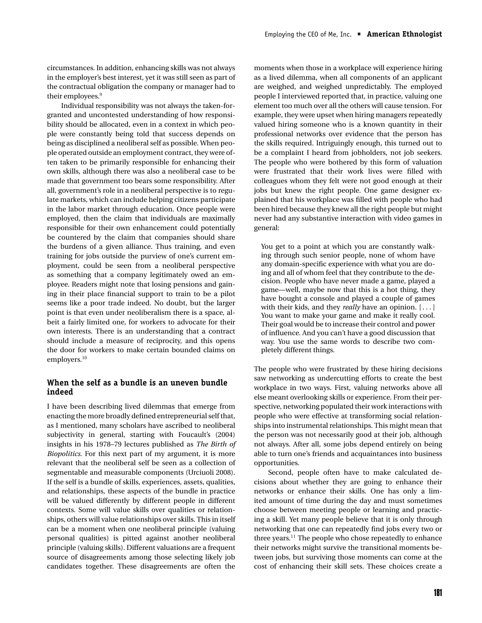circumstances. In addition, enhancing skills was not always in the employer's best interest, yet it was still seen as part of the contractual obligation the company or manager had to their employees.<sup>9</sup>

Individual responsibility was not always the taken-forgranted and uncontested understanding of how responsibility should be allocated, even in a context in which people were constantly being told that success depends on being as disciplined a neoliberal self as possible. When people operated outside an employment contract, they were often taken to be primarily responsible for enhancing their own skills, although there was also a neoliberal case to be made that government too bears some responsibility. After all, government's role in a neoliberal perspective is to regulate markets, which can include helping citizens participate in the labor market through education. Once people were employed, then the claim that individuals are maximally responsible for their own enhancement could potentially be countered by the claim that companies should share the burdens of a given alliance. Thus training, and even training for jobs outside the purview of one's current employment, could be seen from a neoliberal perspective as something that a company legitimately owed an employee. Readers might note that losing pensions and gaining in their place financial support to train to be a pilot seems like a poor trade indeed. No doubt, but the larger point is that even under neoliberalism there is a space, albeit a fairly limited one, for workers to advocate for their own interests. There is an understanding that a contract should include a measure of reciprocity, and this opens the door for workers to make certain bounded claims on employers.<sup>10</sup>

# **When the self as a bundle is an uneven bundle indeed**

I have been describing lived dilemmas that emerge from enacting the more broadly defined entrepreneurial self that, as I mentioned, many scholars have ascribed to neoliberal subjectivity in general, starting with Foucault's (2004) insights in his 1978–79 lectures published as *The Birth of Biopolitics*. For this next part of my argument, it is more relevant that the neoliberal self be seen as a collection of segmentable and measurable components (Urciuoli 2008). If the self is a bundle of skills, experiences, assets, qualities, and relationships, these aspects of the bundle in practice will be valued differently by different people in different contexts. Some will value skills over qualities or relationships, others will value relationships over skills. This in itself can be a moment when one neoliberal principle (valuing personal qualities) is pitted against another neoliberal principle (valuing skills). Different valuations are a frequent source of disagreements among those selecting likely job candidates together. These disagreements are often the

moments when those in a workplace will experience hiring as a lived dilemma, when all components of an applicant are weighed, and weighed unpredictably. The employed people I interviewed reported that, in practice, valuing one element too much over all the others will cause tension. For example, they were upset when hiring managers repeatedly valued hiring someone who is a known quantity in their professional networks over evidence that the person has the skills required. Intriguingly enough, this turned out to be a complaint I heard from jobholders, not job seekers. The people who were bothered by this form of valuation were frustrated that their work lives were filled with colleagues whom they felt were not good enough at their jobs but knew the right people. One game designer explained that his workplace was filled with people who had been hired because they knew all the right people but might never had any substantive interaction with video games in general:

You get to a point at which you are constantly walking through such senior people, none of whom have any domain-specific experience with what you are doing and all of whom feel that they contribute to the decision. People who have never made a game, played a game—well, maybe now that this is a hot thing, they have bought a console and played a couple of games with their kids, and they *really* have an opinion. [...] You want to make your game and make it really cool. Their goal would be to increase their control and power of influence. And you can't have a good discussion that way. You use the same words to describe two completely different things.

The people who were frustrated by these hiring decisions saw networking as undercutting efforts to create the best workplace in two ways. First, valuing networks above all else meant overlooking skills or experience. From their perspective, networking populated their work interactions with people who were effective at transforming social relationships into instrumental relationships. This might mean that the person was not necessarily good at their job, although not always. After all, some jobs depend entirely on being able to turn one's friends and acquaintances into business opportunities.

Second, people often have to make calculated decisions about whether they are going to enhance their networks or enhance their skills. One has only a limited amount of time during the day and must sometimes choose between meeting people or learning and practicing a skill. Yet many people believe that it is only through networking that one can repeatedly find jobs every two or three years.<sup>11</sup> The people who chose repeatedly to enhance their networks might survive the transitional moments between jobs, but surviving those moments can come at the cost of enhancing their skill sets. These choices create a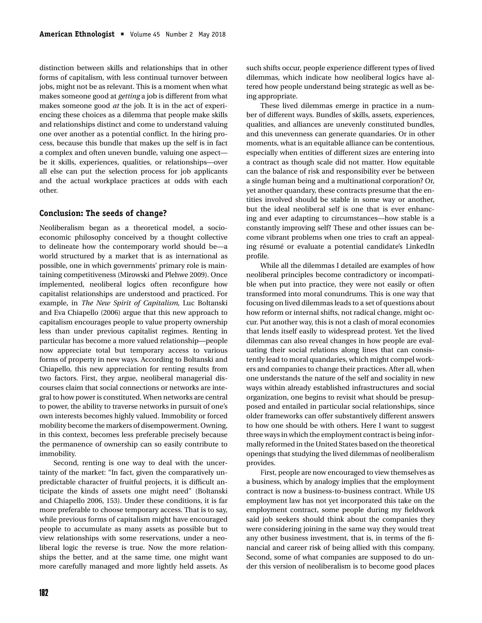distinction between skills and relationships that in other forms of capitalism, with less continual turnover between jobs, might not be as relevant. This is a moment when what makes someone good at *getting* a job is different from what makes someone good *at* the job. It is in the act of experiencing these choices as a dilemma that people make skills and relationships distinct and come to understand valuing one over another as a potential conflict. In the hiring process, because this bundle that makes up the self is in fact a complex and often uneven bundle, valuing one aspect be it skills, experiences, qualities, or relationships—over all else can put the selection process for job applicants and the actual workplace practices at odds with each other.

## **Conclusion: The seeds of change?**

Neoliberalism began as a theoretical model, a socioeconomic philosophy conceived by a thought collective to delineate how the contemporary world should be—a world structured by a market that is as international as possible, one in which governments' primary role is maintaining competitiveness (Mirowski and Plehwe 2009). Once implemented, neoliberal logics often reconfigure how capitalist relationships are understood and practiced. For example, in *The New Spirit of Capitalism*, Luc Boltanski and Eva Chiapello (2006) argue that this new approach to capitalism encourages people to value property ownership less than under previous capitalist regimes. Renting in particular has become a more valued relationship—people now appreciate total but temporary access to various forms of property in new ways. According to Boltanski and Chiapello, this new appreciation for renting results from two factors. First, they argue, neoliberal managerial discourses claim that social connections or networks are integral to how power is constituted. When networks are central to power, the ability to traverse networks in pursuit of one's own interests becomes highly valued. Immobility or forced mobility become the markers of disempowerment. Owning, in this context, becomes less preferable precisely because the permanence of ownership can so easily contribute to immobility.

Second, renting is one way to deal with the uncertainty of the market: "In fact, given the comparatively unpredictable character of fruitful projects, it is difficult anticipate the kinds of assets one might need" (Boltanski and Chiapello 2006, 153). Under these conditions, it is far more preferable to choose temporary access. That is to say, while previous forms of capitalism might have encouraged people to accumulate as many assets as possible but to view relationships with some reservations, under a neoliberal logic the reverse is true. Now the more relationships the better, and at the same time, one might want more carefully managed and more lightly held assets. As such shifts occur, people experience different types of lived dilemmas, which indicate how neoliberal logics have altered how people understand being strategic as well as being appropriate.

These lived dilemmas emerge in practice in a number of different ways. Bundles of skills, assets, experiences, qualities, and alliances are unevenly constituted bundles, and this unevenness can generate quandaries. Or in other moments, what is an equitable alliance can be contentious, especially when entities of different sizes are entering into a contract as though scale did not matter. How equitable can the balance of risk and responsibility ever be between a single human being and a multinational corporation? Or, yet another quandary, these contracts presume that the entities involved should be stable in some way or another, but the ideal neoliberal self is one that is ever enhancing and ever adapting to circumstances—how stable is a constantly improving self? These and other issues can become vibrant problems when one tries to craft an appealing résumé or evaluate a potential candidate's LinkedIn profile.

While all the dilemmas I detailed are examples of how neoliberal principles become contradictory or incompatible when put into practice, they were not easily or often transformed into moral conundrums. This is one way that focusing on lived dilemmas leads to a set of questions about how reform or internal shifts, not radical change, might occur. Put another way, this is not a clash of moral economies that lends itself easily to widespread protest. Yet the lived dilemmas can also reveal changes in how people are evaluating their social relations along lines that can consistently lead to moral quandaries, which might compel workers and companies to change their practices. After all, when one understands the nature of the self and sociality in new ways within already established infrastructures and social organization, one begins to revisit what should be presupposed and entailed in particular social relationships, since older frameworks can offer substantively different answers to how one should be with others. Here I want to suggest three ways in which the employment contract is being informally reformed in the United States based on the theoretical openings that studying the lived dilemmas of neoliberalism provides.

First, people are now encouraged to view themselves as a business, which by analogy implies that the employment contract is now a business-to-business contract. While US employment law has not yet incorporated this take on the employment contract, some people during my fieldwork said job seekers should think about the companies they were considering joining in the same way they would treat any other business investment, that is, in terms of the financial and career risk of being allied with this company. Second, some of what companies are supposed to do under this version of neoliberalism is to become good places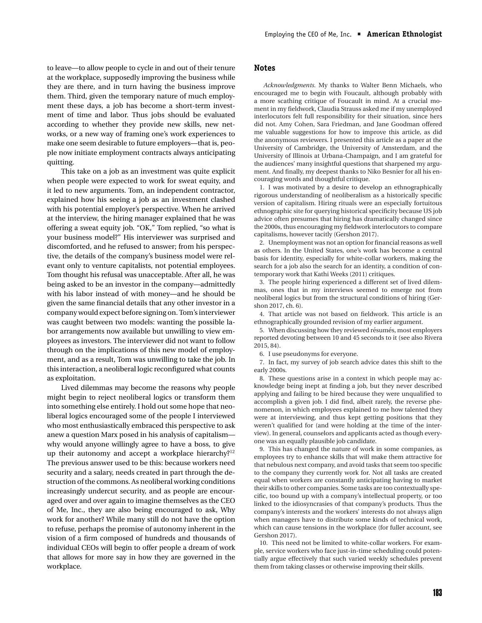to leave—to allow people to cycle in and out of their tenure at the workplace, supposedly improving the business while they are there, and in turn having the business improve them. Third, given the temporary nature of much employment these days, a job has become a short-term investment of time and labor. Thus jobs should be evaluated according to whether they provide new skills, new networks, or a new way of framing one's work experiences to make one seem desirable to future employers—that is, people now initiate employment contracts always anticipating quitting.

This take on a job as an investment was quite explicit when people were expected to work for sweat equity, and it led to new arguments. Tom, an independent contractor, explained how his seeing a job as an investment clashed with his potential employer's perspective. When he arrived at the interview, the hiring manager explained that he was offering a sweat equity job. "OK," Tom replied, "so what is your business model?" His interviewer was surprised and discomforted, and he refused to answer; from his perspective, the details of the company's business model were relevant only to venture capitalists, not potential employees. Tom thought his refusal was unacceptable. After all, he was being asked to be an investor in the company—admittedly with his labor instead of with money—and he should be given the same financial details that any other investor in a company would expect before signing on. Tom's interviewer was caught between two models: wanting the possible labor arrangements now available but unwilling to view employees as investors. The interviewer did not want to follow through on the implications of this new model of employment, and as a result, Tom was unwilling to take the job. In this interaction, a neoliberal logic reconfigured what counts as exploitation.

Lived dilemmas may become the reasons why people might begin to reject neoliberal logics or transform them into something else entirely. I hold out some hope that neoliberal logics encouraged some of the people I interviewed who most enthusiastically embraced this perspective to ask anew a question Marx posed in his analysis of capitalism why would anyone willingly agree to have a boss, to give up their autonomy and accept a workplace hierarchy?<sup>12</sup> The previous answer used to be this: because workers need security and a salary, needs created in part through the destruction of the commons. As neoliberal working conditions increasingly undercut security, and as people are encouraged over and over again to imagine themselves as the CEO of Me, Inc., they are also being encouraged to ask, Why work for another? While many still do not have the option to refuse, perhaps the promise of autonomy inherent in the vision of a firm composed of hundreds and thousands of individual CEOs will begin to offer people a dream of work that allows for more say in how they are governed in the workplace.

#### **Notes**

*Acknowledgments*. My thanks to Walter Benn Michaels, who encouraged me to begin with Foucault, although probably with a more scathing critique of Foucault in mind. At a crucial moment in my fieldwork, Claudia Strauss asked me if my unemployed interlocutors felt full responsibility for their situation, since hers did not. Amy Cohen, Sara Friedman, and Jane Goodman offered me valuable suggestions for how to improve this article, as did the anonymous reviewers. I presented this article as a paper at the University of Cambridge, the University of Amsterdam, and the University of Illinois at Urbana-Champaign, and I am grateful for the audiences' many insightful questions that sharpened my argument. And finally, my deepest thanks to Niko Besnier for all his encouraging words and thoughtful critique.

1. I was motivated by a desire to develop an ethnographically rigorous understanding of neoliberalism as a historically specific version of capitalism. Hiring rituals were an especially fortuitous ethnographic site for querying historical specificity because US job advice often presumes that hiring has dramatically changed since the 2000s, thus encouraging my fieldwork interlocutors to compare capitalisms, however tacitly (Gershon 2017).

2. Unemployment was not an option for financial reasons as well as others. In the United States, one's work has become a central basis for identity, especially for white-collar workers, making the search for a job also the search for an identity, a condition of contemporary work that Kathi Weeks (2011) critiques.

3. The people hiring experienced a different set of lived dilemmas, ones that in my interviews seemed to emerge not from neoliberal logics but from the structural conditions of hiring (Gershon 2017, ch. 6).

4. That article was not based on fieldwork. This article is an ethnographically grounded revision of my earlier argument.

5. When discussing how they reviewed résumés, most employers reported devoting between 10 and 45 seconds to it (see also Rivera 2015, 84).

6. I use pseudonyms for everyone.

7. In fact, my survey of job search advice dates this shift to the early 2000s.

8. These questions arise in a context in which people may acknowledge being inept at finding a job, but they never described applying and failing to be hired because they were unqualified to accomplish a given job. I did find, albeit rarely, the reverse phenomenon, in which employees explained to me how talented they were at interviewing, and thus kept getting positions that they weren't qualified for (and were holding at the time of the interview). In general, counselors and applicants acted as though everyone was an equally plausible job candidate.

9. This has changed the nature of work in some companies, as employees try to enhance skills that will make them attractive for that nebulous next company, and avoid tasks that seem too specific to the company they currently work for. Not all tasks are created equal when workers are constantly anticipating having to market their skills to other companies. Some tasks are too contextually specific, too bound up with a company's intellectual property, or too linked to the idiosyncrasies of that company's products. Thus the company's interests and the workers' interests do not always align when managers have to distribute some kinds of technical work, which can cause tensions in the workplace (for fuller account, see Gershon 2017).

10. This need not be limited to white-collar workers. For example, service workers who face just-in-time scheduling could potentially argue effectively that such varied weekly schedules prevent them from taking classes or otherwise improving their skills.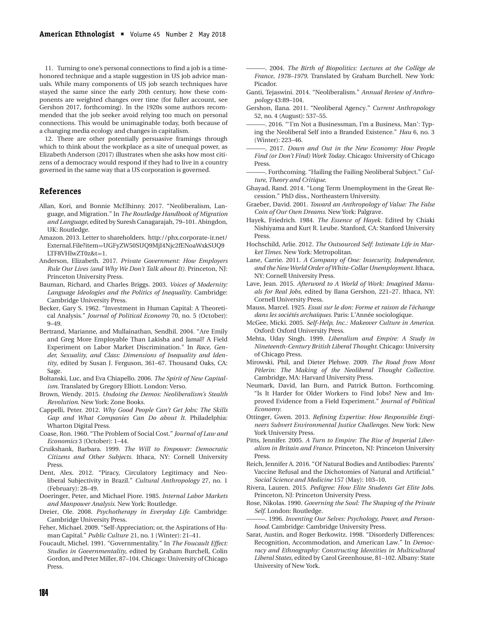11. Turning to one's personal connections to find a job is a timehonored technique and a staple suggestion in US job advice manuals. While many components of US job search techniques have stayed the same since the early 20th century, how these components are weighted changes over time (for fuller account, see Gershon 2017, forthcoming). In the 1920s some authors recommended that the job seeker avoid relying too much on personal connections. This would be unimaginable today, both because of a changing media ecology and changes in capitalism.

12. There are other potentially persuasive framings through which to think about the workplace as a site of unequal power, as Elizabeth Anderson (2017) illustrates when she asks how most citizens of a democracy would respond if they had to live in a country governed in the same way that a US corporation is governed.

### **References**

- Allan, Kori, and Bonnie McElhinny. 2017. "Neoliberalism, Language, and Migration." In *The Routledge Handbook of Migration and Language*, edited by Suresh Canagarajah, 79–101. Abingdon, UK: Routledge.
- Amazon. 2013. Letter to shareholders. http://phx.corporate-ir.net/ External.File?item=UGFyZW50SUQ9MjI4Njc2fENoaWxkSUQ9 LTF8VHlwZT0z&t=1.
- Anderson, Elizabeth. 2017. *Private Government: How Employers Rule Our Lives (and Why We Don't Talk about It)*. Princeton, NJ: Princeton University Press.
- Bauman, Richard, and Charles Briggs. 2003. *Voices of Modernity: Language Ideologies and the Politics of Inequality*. Cambridge: Cambridge University Press.
- Becker, Gary S. 1962. "Investment in Human Capital: A Theoretical Analysis." *Journal of Political Economy* 70, no. 5 (October): 9–49.
- Bertrand, Marianne, and Mullainathan, Sendhil. 2004. "Are Emily and Greg More Employable Than Lakisha and Jamal? A Field Experiment on Labor Market Discrimination." In *Race, Gender, Sexuality, and Class: Dimensions of Inequality and Identity*, edited by Susan J. Ferguson, 361–67. Thousand Oaks, CA: Sage.
- Boltanski, Luc, and Eva Chiapello. 2006. *The Spirit of New Capitalism*. Translated by Gregory Elliott. London: Verso.
- Brown, Wendy. 2015. *Undoing the Demos: Neoliberalism's Stealth Revolution*. New York: Zone Books.
- Cappelli, Peter. 2012. *Why Good People Can't Get Jobs: The Skills Gap and What Companies Can Do about It*. Philadelphia: Wharton Digital Press.
- Coase, Ron. 1960. "The Problem of Social Cost." *Journal of Law and Economics* 3 (October): 1–44.
- Cruikshank, Barbara. 1999. *The Will to Empower: Democratic Citizens and Other Subjects*. Ithaca, NY: Cornell University Press.
- Dent, Alex. 2012. "Piracy, Circulatory Legitimacy and Neoliberal Subjectivity in Brazil." *Cultural Anthropology* 27, no. 1 (February): 28–49.
- Doeringer, Peter, and Michael Piore. 1985. *Internal Labor Markets and Manpower Analysis*. New York: Routledge.
- Dreier, Ole. 2008. *Psychotherapy in Everyday Life*. Cambridge: Cambridge University Press.
- Feher, Michael. 2009. "Self-Appreciation; or, the Aspirations of Human Capital." *Public Culture* 21, no. 1 (Winter): 21–41.
- Foucault, Michel. 1991. "Governmentality." In *The Foucault Effect: Studies in Governmentality*, edited by Graham Burchell, Colin Gordon, and Peter Miller, 87–104. Chicago: University of Chicago Press.
- ———. 2004. *The Birth of Biopolitics: Lectures at the College de ` France, 1978–1979*. Translated by Graham Burchell. New York: Picador.
- Ganti, Tejaswini. 2014. "Neoliberalism." *Annual Review of Anthropology* 43:89–104.
- Gershon, Ilana. 2011. "Neoliberal Agency." *Current Anthropology* 52, no. 4 (August): 537–55.
- -. 2016. "'I'm Not a Businessman, I'm a Business, Man': Typing the Neoliberal Self into a Branded Existence." *Hau* 6, no. 3 (Winter): 223–46.
- ———. 2017. *Down and Out in the New Economy: How People Find (or Don't Find) Work Today*. Chicago: University of Chicago Press.
- ———. Forthcoming. "Hailing the Failing Neoliberal Subject." *Culture, Theory and Critique*.
- Ghayad, Rand. 2014. "Long Term Unemployment in the Great Recession." PhD diss., Northeastern University.
- Graeber, David. 2001. *Toward an Anthropology of Value: The False Coin of Our Own Dreams*. New York: Palgrave.
- Hayek, Friedrich. 1984. *The Essence of Hayek*. Edited by Chiaki Nishiyama and Kurt R. Leube. Stanford, CA: Stanford University Press.
- Hochschild, Arlie. 2012. *The Outsourced Self: Intimate Life in Market Times*. New York: Metropolitan.
- Lane, Carrie. 2011. *A Company of One: Insecurity, Independence, and the New World Order of White-Collar Unemployment*. Ithaca, NY: Cornell University Press.
- Lave, Jean. 2015. *Afterword to A World of Work: Imagined Manuals for Real Jobs*, edited by Ilana Gershon, 221–27. Ithaca, NY: Cornell University Press.
- Mauss, Marcel. 1925. *Essai sur le don: Forme et raison de l'echange ´ dans les sociétés archaïques*. Paris: L'Année sociologique.
- McGee, Micki. 2005. *Self-Help, Inc.: Makeover Culture in America*. Oxford: Oxford University Press.
- Mehta, Uday Singh. 1999. *Liberalism and Empire: A Study in Nineteenth-Century British Liberal Thought*. Chicago: University of Chicago Press.
- Mirowski, Phil, and Dieter Plehwe. 2009. *The Road from Mont Pèlerin: The Making of the Neoliberal Thought Collective.* Cambridge, MA: Harvard University Press.
- Neumark, David, Ian Burn, and Patrick Button. Forthcoming. "Is It Harder for Older Workers to Find Jobs? New and Improved Evidence from a Field Experiment." *Journal of Political Economy*.
- Ottinger, Gwen. 2013. *Refining Expertise: How Responsible Engineers Subvert Environmental Justice Challenges*. New York: New York University Press.
- Pitts, Jennifer. 2005. *A Turn to Empire: The Rise of Imperial Liberalism in Britain and France*. Princeton, NJ: Princeton University Press.
- Reich, Jennifer A. 2016. "Of Natural Bodies and Antibodies: Parents' Vaccine Refusal and the Dichotomies of Natural and Artificial." *Social Science and Medicine* 157 (May): 103–10.
- Rivera, Lauren. 2015. *Pedigree: How Elite Students Get Elite Jobs*. Princeton, NJ: Princeton University Press.
- Rose, Nikolas. 1990. *Governing the Soul: The Shaping of the Private Self*. London: Routledge.
- . 1996. Inventing Our Selves: Psychology, Power, and Person*hood*. Cambridge: Cambridge University Press.
- Sarat, Austin, and Roger Berkowitz. 1998. "Disorderly Differences: Recognition, Accommodation, and American Law." In *Democracy and Ethnography: Constructing Identities in Multicultural Liberal States*, edited by Carol Greenhouse, 81–102. Albany: State University of New York.